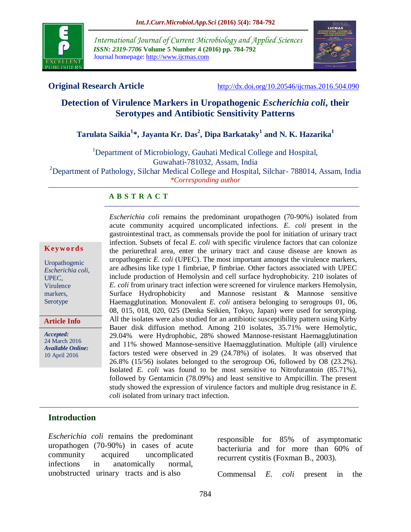

*International Journal of Current Microbiology and Applied Sciences ISSN: 2319-7706* **Volume 5 Number 4 (2016) pp. 784-792** Journal homepage: http://www.ijcmas.com



**Original Research Article** <http://dx.doi.org/10.20546/ijcmas.2016.504.090>

# **Detection of Virulence Markers in Uropathogenic** *Escherichia coli***, their Serotypes and Antibiotic Sensitivity Patterns**

# **Tarulata Saikia<sup>1</sup> \*, Jayanta Kr. Das<sup>2</sup> , Dipa Barkataky<sup>1</sup> and N. K. Hazarika<sup>1</sup>**

<sup>1</sup>Department of Microbiology, Gauhati Medical College and Hospital, Guwahati-781032, Assam, India <sup>2</sup>Department of Pathology, Silchar Medical College and Hospital, Silchar- 788014, Assam, India *\*Corresponding author*

#### **A B S T R A C T**

#### **K ey w o rd s**

Uropathogenic *Escherichia coli*, UPEC, Virulence markers, Serotype

**Article Info**

*Accepted:*  24 March 2016 *Available Online:* 10 April 2016

*Escherichia coli* remains the predominant uropathogen (70-90%) isolated from acute community acquired uncomplicated infections. *E. coli* present in the gastrointestinal tract, as commensals provide the pool for initiation of urinary tract infection. Subsets of fecal *E. coli* with specific virulence factors that can colonize the periurethral area, enter the urinary tract and cause disease are known as uropathogenic *E. coli* (UPEC). The most important amongst the virulence markers, are adhesins like type 1 fimbriae, P fimbriae. Other factors associated with UPEC include production of Hemolysin and cell surface hydrophobicity. 210 isolates of *E. coli* from urinary tract infection were screened for virulence markers Hemolysin, Surface Hydrophobicity and Mannose resistant & Mannose sensitive Haemagglutination. Monovalent *E. coli* antisera belonging to serogroups 01, 06, 08, 015, 018, 020, 025 (Denka Seikien, Tokyo, Japan) were used for serotyping. All the isolates were also studied for an antibiotic susceptibility pattern using Kirby Bauer disk diffusion method. Among 210 isolates, 35.71% were Hemolytic, 29.04% were Hydrophobic, 28% showed Mannose-resistant Haemagglutination and 11% showed Mannose-sensitive Haemagglutination. Multiple (all) virulence factors tested were observed in 29 (24.78%) of isolates. It was observed that 26.8% (15/56) isolates belonged to the serogroup O6, followed by O8 (23.2%). Isolated *E. coli* was found to be most sensitive to Nitrofurantoin (85.71%), followed by Gentamicin (78.09%) and least sensitive to Ampicillin. The present study showed the expression of virulence factors and multiple drug resistance in *E. coli* isolated from urinary tract infection.

#### **Introduction**

*Escherichia coli* remains the predominant uropathogen (70-90%) in cases of acute community acquired uncomplicated infections in anatomically normal, unobstructed urinary tracts and is also

responsible for 85% of asymptomatic bacteriuria and for more than 60% of recurrent cystitis (Foxman B., 2003).

Commensal *E. coli* present in the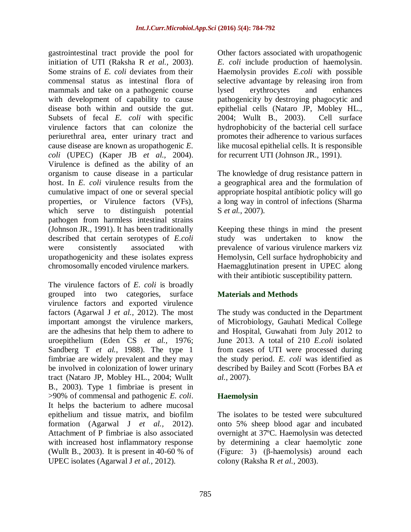gastrointestinal tract provide the pool for initiation of UTI (Raksha R *et al.,* 2003). Some strains of *E. coli* deviates from their commensal status as intestinal flora of mammals and take on a pathogenic course with development of capability to cause disease both within and outside the gut. Subsets of fecal *E. coli* with specific virulence factors that can colonize the periurethral area, enter urinary tract and cause disease are known as uropathogenic *E. coli* (UPEC) (Kaper JB *et al.,* 2004). Virulence is defined as the ability of an organism to cause disease in a particular host. In *E. coli* virulence results from the cumulative impact of one or several special properties, or Virulence factors (VFs), which serve to distinguish potential pathogen from harmless intestinal strains (Johnson JR., 1991). It has been traditionally described that certain serotypes of *E.coli* were consistently associated with uropathogenicity and these isolates express chromosomally encoded virulence markers.

The virulence factors of *E. coli* is broadly grouped into two categories, surface virulence factors and exported virulence factors (Agarwal J *et al.,* 2012). The most important amongst the virulence markers, are the adhesins that help them to adhere to uroepithelium (Eden CS *et al.,* 1976; Sandberg T *et al.,* 1988). The type 1 fimbriae are widely prevalent and they may be involved in colonization of lower urinary tract (Nataro JP, Mobley HL., 2004; Wullt B., 2003). Type 1 fimbriae is present in >90% of commensal and pathogenic *E. coli*. It helps the bacterium to adhere mucosal epithelium and tissue matrix, and biofilm formation (Agarwal J *et al.,* 2012). Attachment of P fimbriae is also associated with increased host inflammatory response (Wullt B., 2003). It is present in 40-60 % of UPEC isolates (Agarwal J *et al.,* 2012).

Other factors associated with uropathogenic *E. coli* include production of haemolysin. Haemolysin provides *E.coli* with possible selective advantage by releasing iron from lysed erythrocytes and enhances pathogenicity by destroying phagocytic and epithelial cells (Nataro JP, Mobley HL., 2004; Wullt B., 2003). Cell surface hydrophobicity of the bacterial cell surface promotes their adherence to various surfaces like mucosal epithelial cells. It is responsible for recurrent UTI (Johnson JR., 1991).

The knowledge of drug resistance pattern in a geographical area and the formulation of appropriate hospital antibiotic policy will go a long way in control of infections (Sharma S *et al.,* 2007).

Keeping these things in mind the present study was undertaken to know the prevalence of various virulence markers viz Hemolysin, Cell surface hydrophobicity and Haemagglutination present in UPEC along with their antibiotic susceptibility pattern.

## **Materials and Methods**

The study was conducted in the Department of Microbiology, Gauhati Medical College and Hospital, Guwahati from July 2012 to June 2013. A total of 210 *E.coli* isolated from cases of UTI were processed during the study period. *E. coli* was identified as described by Bailey and Scott (Forbes BA *et al.,* 2007).

## **Haemolysin**

The isolates to be tested were subcultured onto 5% sheep blood agar and incubated overnight at 37ºC. Haemolysin was detected by determining a clear haemolytic zone (Figure: 3) (β-haemolysis) around each colony (Raksha R *et al.,* 2003).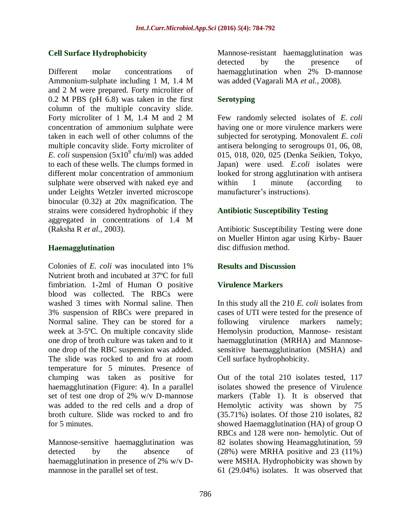## **Cell Surface Hydrophobicity**

Different molar concentrations of Ammonium-sulphate including 1 M, 1.4 M and 2 M were prepared. Forty microliter of 0.2 M PBS (pH 6.8) was taken in the first column of the multiple concavity slide. Forty microliter of 1 M, 1.4 M and 2 M concentration of ammonium sulphate were taken in each well of other columns of the multiple concavity slide. Forty microliter of  $E.$  *coli* suspension (5x10<sup>9</sup> cfu/ml) was added to each of these wells. The clumps formed in different molar concentration of ammonium sulphate were observed with naked eye and under Leights Wetzler inverted microscope binocular (0.32) at 20x magnification. The strains were considered hydrophobic if they aggregated in concentrations of 1.4 M (Raksha R *et al.,* 2003).

#### **Haemagglutination**

Colonies of *E. coli* was inoculated into 1% Nutrient broth and incubated at 37ºC for full fimbriation. 1-2ml of Human O positive blood was collected. The RBCs were washed 3 times with Normal saline. Then 3% suspension of RBCs were prepared in Normal saline. They can be stored for a week at 3-5ºC. On multiple concavity slide one drop of broth culture was taken and to it one drop of the RBC suspension was added. The slide was rocked to and fro at room temperature for 5 minutes. Presence of clumping was taken as positive for haemagglutination (Figure: 4). In a parallel set of test one drop of 2% w/v D-mannose was added to the red cells and a drop of broth culture. Slide was rocked to and fro for 5 minutes.

Mannose-sensitive haemagglutination was detected by the absence of haemagglutination in presence of 2% w/v Dmannose in the parallel set of test.

Mannose-resistant haemagglutination was detected by the presence of haemagglutination when 2% D-mannose was added (Vagarali MA *et al.,* 2008).

## **Serotyping**

Few randomly selected isolates of *E. coli* having one or more virulence markers were subjected for serotyping. Monovalent *E. coli* antisera belonging to serogroups 01, 06, 08, 015, 018, 020, 025 (Denka Seikien, Tokyo, Japan) were used. *E.coli* isolates were looked for strong agglutination with antisera within 1 minute (according to manufacturer's instructions).

## **Antibiotic Susceptibility Testing**

Antibiotic Susceptibility Testing were done on Mueller Hinton agar using Kirby- Bauer disc diffusion method.

#### **Results and Discussion**

#### **Virulence Markers**

In this study all the 210 *E. coli* isolates from cases of UTI were tested for the presence of following virulence markers namely; Hemolysin production, Mannose- resistant haemagglutination (MRHA) and Mannosesensitive haemagglutination (MSHA) and Cell surface hydrophobicity.

Out of the total 210 isolates tested, 117 isolates showed the presence of Virulence markers (Table 1). It is observed that Hemolytic activity was shown by 75 (35.71%) isolates. Of those 210 isolates, 82 showed Haemagglutination (HA) of group O RBCs and 128 were non- hemolytic. Out of 82 isolates showing Heamagglutination, 59 (28%) were MRHA positive and 23 (11%) were MSHA. Hydrophobicity was shown by 61 (29.04%) isolates. It was observed that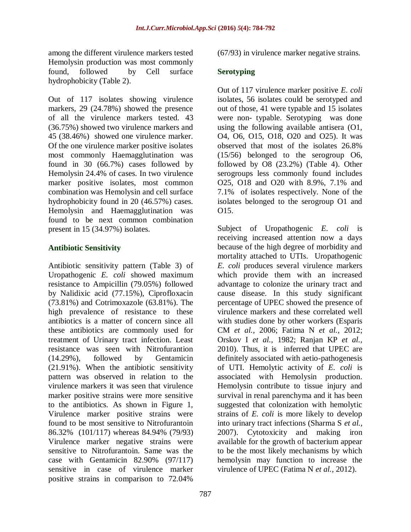among the different virulence markers tested Hemolysin production was most commonly found, followed by Cell surface hydrophobicity (Table 2).

Out of 117 isolates showing virulence markers, 29 (24.78%) showed the presence of all the virulence markers tested. 43 (36.75%) showed two virulence markers and 45 (38.46%) showed one virulence marker. Of the one virulence marker positive isolates most commonly Haemagglutination was found in 30 (66.7%) cases followed by Hemolysin 24.4% of cases. In two virulence marker positive isolates, most common combination was Hemolysin and cell surface hydrophobicity found in 20 (46.57%) cases. Hemolysin and Haemagglutination was found to be next common combination present in 15 (34.97%) isolates.

## **Antibiotic Sensitivity**

Antibiotic sensitivity pattern (Table 3) of Uropathogenic *E. coli* showed maximum resistance to Ampicillin (79.05%) followed by Nalidixic acid (77.15%), Ciprofloxacin (73.81%) and Cotrimoxazole (63.81%). The high prevalence of resistance to these antibiotics is a matter of concern since all these antibiotics are commonly used for treatment of Urinary tract infection. Least resistance was seen with Nitrofurantion (14.29%), followed by Gentamicin (21.91%). When the antibiotic sensitivity pattern was observed in relation to the virulence markers it was seen that virulence marker positive strains were more sensitive to the antibiotics. As shown in Figure 1, Virulence marker positive strains were found to be most sensitive to Nitrofurantoin 86.32% (101/117) whereas 84.94% (79/93) Virulence marker negative strains were sensitive to Nitrofurantoin. Same was the case with Gentamicin 82.90% (97/117) sensitive in case of virulence marker positive strains in comparison to 72.04%

(67/93) in virulence marker negative strains.

## **Serotyping**

Out of 117 virulence marker positive *E. coli* isolates, 56 isolates could be serotyped and out of those, 41 were typable and 15 isolates were non- typable. Serotyping was done using the following available antisera (O1, O4, O6, O15, O18, O20 and O25). It was observed that most of the isolates 26.8% (15/56) belonged to the serogroup O6, followed by O8 (23.2%) (Table 4). Other serogroups less commonly found includes O25, O18 and O20 with 8.9%, 7.1% and 7.1% of isolates respectively. None of the isolates belonged to the serogroup O1 and O15.

Subject of Uropathogenic *E. coli* is receiving increased attention now a days because of the high degree of morbidity and mortality attached to UTIs. Uropathogenic *E. coli* produces several virulence markers which provide them with an increased advantage to colonize the urinary tract and cause disease. In this study significant percentage of UPEC showed the presence of virulence markers and these correlated well with studies done by other workers (Esparis CM *et al.,* 2006; Fatima N *et al.,* 2012; Orskov I *et al.,* 1982; Ranjan KP *et al.,* 2010). Thus, it is inferred that UPEC are definitely associated with aetio-pathogenesis of UTI. Hemolytic activity of *E. coli* is associated with Hemolysin production. Hemolysin contribute to tissue injury and survival in renal parenchyma and it has been suggested that colonization with hemolytic strains of *E. coli* is more likely to develop into urinary tract infections (Sharma S *et al.,* 2007). Cytotoxicity and making iron available for the growth of bacterium appear to be the most likely mechanisms by which hemolysin may function to increase the virulence of UPEC (Fatima N *et al.,* 2012).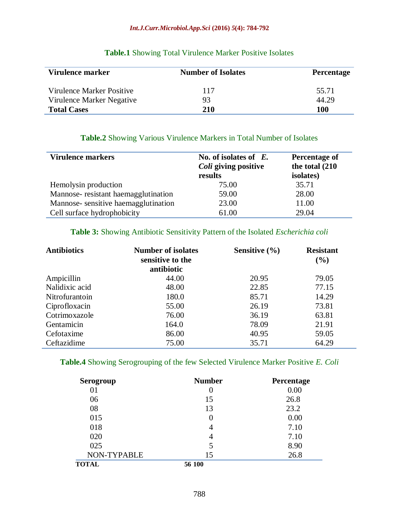#### *Int.J.Curr.Microbiol.App.Sci* **(2016)** *5***(4): 784-792**

| Virulence marker          | <b>Number of Isolates</b> | <b>Percentage</b> |
|---------------------------|---------------------------|-------------------|
| Virulence Marker Positive | 117                       | 55.71             |
| Virulence Marker Negative | 93                        | 44.29             |
| <b>Total Cases</b>        | 210                       | <b>100</b>        |

## **Table.1** Showing Total Virulence Marker Positive Isolates

## **Table.2** Showing Various Virulence Markers in Total Number of Isolates

| Virulence markers                   | No. of isolates of $E$ .<br>Coli giving positive<br>results | Percentage of<br>the total (210)<br><i>isolates</i> ) |
|-------------------------------------|-------------------------------------------------------------|-------------------------------------------------------|
| Hemolysin production                | 75.00                                                       | 35.71                                                 |
| Mannose-resistant haemagglutination | 59.00                                                       | 28.00                                                 |
| Mannose-sensitive haemagglutination | 23.00                                                       | 11.00                                                 |
| Cell surface hydrophobicity         | 61.00                                                       | 29.04                                                 |

#### **Table 3:** Showing Antibiotic Sensitivity Pattern of the Isolated *Escherichia coli*

| <b>Antibiotics</b> | <b>Number of isolates</b><br>sensitive to the<br>antibiotic | Sensitive $(\% )$ | <b>Resistant</b><br>(%) |
|--------------------|-------------------------------------------------------------|-------------------|-------------------------|
| Ampicillin         | 44.00                                                       | 20.95             | 79.05                   |
| Nalidixic acid     | 48.00                                                       | 22.85             | 77.15                   |
| Nitrofurantoin     | 180.0                                                       | 85.71             | 14.29                   |
| Ciprofloxacin      | 55.00                                                       | 26.19             | 73.81                   |
| Cotrimoxazole      | 76.00                                                       | 36.19             | 63.81                   |
| Gentamicin         | 164.0                                                       | 78.09             | 21.91                   |
| Cefotaxime         | 86.00                                                       | 40.95             | 59.05                   |
| Ceftazidime        | 75.00                                                       | 35.71             | 64.29                   |

## **Table.4** Showing Serogrouping of the few Selected Virulence Marker Positive *E. Coli*

| Serogroup    | <b>Number</b> | Percentage |
|--------------|---------------|------------|
| 01           |               | 0.00       |
| 06           | 15            | 26.8       |
| 08           | 13            | 23.2       |
| 015          |               | 0.00       |
| 018          | 4             | 7.10       |
| 020          |               | 7.10       |
| 025          |               | 8.90       |
| NON-TYPABLE  | 15            | 26.8       |
| <b>TOTAL</b> | 56 100        |            |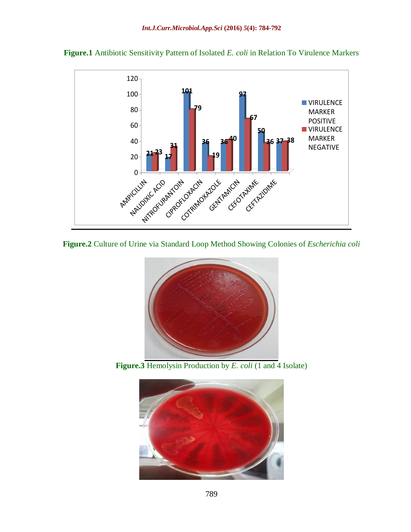



**Figure.2** Culture of Urine via Standard Loop Method Showing Colonies of *Escherichia coli*



**Figure.3** Hemolysin Production by *E. coli* (1 and 4 Isolate)

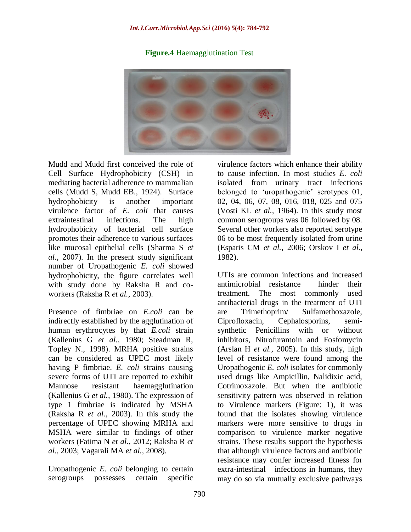## **Figure.4** Haemagglutination Test



Mudd and Mudd first conceived the role of Cell Surface Hydrophobicity (CSH) in mediating bacterial adherence to mammalian cells (Mudd S, Mudd EB., 1924). Surface hydrophobicity is another important virulence factor of *E. coli* that causes extraintestinal infections. The high hydrophobicity of bacterial cell surface promotes their adherence to various surfaces like mucosal epithelial cells (Sharma S *et al.,* 2007). In the present study significant number of Uropathogenic *E. coli* showed hydrophobicity, the figure correlates well with study done by Raksha R and coworkers (Raksha R *et al.,* 2003).

Presence of fimbriae on *E.coli* can be indirectly established by the agglutination of human erythrocytes by that *E.coli* strain (Kallenius G *et al.,* 1980; Steadman R, Topley N., 1998). MRHA positive strains can be considered as UPEC most likely having P fimbriae. *E. coli* strains causing severe forms of UTI are reported to exhibit Mannose resistant haemagglutination (Kallenius G *et al.,* 1980). The expression of type 1 fimbriae is indicated by MSHA (Raksha R *et al.,* 2003). In this study the percentage of UPEC showing MRHA and MSHA were similar to findings of other workers (Fatima N *et al.,* 2012; Raksha R *et al.,* 2003; Vagarali MA *et al.,* 2008).

Uropathogenic *E. coli* belonging to certain serogroups possesses certain specific

virulence factors which enhance their ability to cause infection. In most studies *E. coli* isolated from urinary tract infections belonged to 'uropathogenic' serotypes 01, 02, 04, 06, 07, 08, 016, 018, 025 and 075 (Vosti KL *et al.,* 1964). In this study most common serogroups was 06 followed by 08. Several other workers also reported serotype 06 to be most frequently isolated from urine (Esparis CM *et al.,* 2006; Orskov I *et al.,* 1982).

UTIs are common infections and increased antimicrobial resistance hinder their treatment. The most commonly used antibacterial drugs in the treatment of UTI are Trimethoprim/ Sulfamethoxazole, Ciprofloxacin, Cephalosporins, semisynthetic Penicillins with or without inhibitors, Nitrofurantoin and Fosfomycin (Arslan H *et al.,* 2005). In this study, high level of resistance were found among the Uropathogenic *E. coli* isolates for commonly used drugs like Ampicillin, Nalidixic acid, Cotrimoxazole. But when the antibiotic sensitivity pattern was observed in relation to Virulence markers (Figure: 1), it was found that the isolates showing virulence markers were more sensitive to drugs in comparison to virulence marker negative strains. These results support the hypothesis that although virulence factors and antibiotic resistance may confer increased fitness for extra-intestinal infections in humans, they may do so via mutually exclusive pathways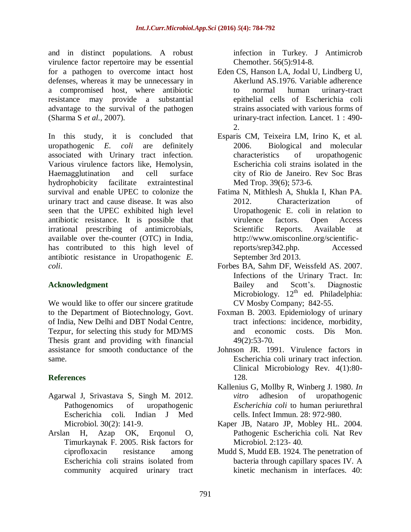and in distinct populations. A robust virulence factor repertoire may be essential for a pathogen to overcome intact host defenses, whereas it may be unnecessary in a compromised host, where antibiotic resistance may provide a substantial advantage to the survival of the pathogen (Sharma S *et al.,* 2007).

In this study, it is concluded that uropathogenic *E. coli* are definitely associated with Urinary tract infection. Various virulence factors like, Hemolysin, Haemagglutination and cell surface hydrophobicity facilitate extraintestinal survival and enable UPEC to colonize the urinary tract and cause disease. It was also seen that the UPEC exhibited high level antibiotic resistance. It is possible that irrational prescribing of antimicrobials, available over the-counter (OTC) in India, has contributed to this high level of antibiotic resistance in Uropathogenic *E. coli*.

## **Acknowledgment**

We would like to offer our sincere gratitude to the Department of Biotechnology, Govt. of India, New Delhi and DBT Nodal Centre, Tezpur, for selecting this study for MD/MS Thesis grant and providing with financial assistance for smooth conductance of the same.

## **References**

- Agarwal J, Srivastava S, Singh M. 2012. Pathogenomics of uropathogenic Escherichia coli. Indian J Med Microbiol. 30(2): 141-9.
- Arslan H, Azap OK, Erqonul O, Timurkaynak F. 2005. Risk factors for ciprofloxacin resistance among Escherichia coli strains isolated from community acquired urinary tract

infection in Turkey. J Antimicrob Chemother. 56(5):914-8.

- Eden CS, Hanson LA, Jodal U, Lindberg U, Akerlund AS.1976. Variable adherence to normal human urinary-tract epithelial cells of Escherichia coli strains associated with various forms of urinary-tract infection. Lancet*.* 1 : 490- 2.
- Esparis CM, Teixeira LM, Irino K, et al. 2006. Biological and molecular characteristics of uropathogenic Escherichia coli strains isolated in the city of Rio de Janeiro. Rev Soc Bras Med Trop. 39(6); 573-6.
- Fatima N, Mithlesh A, Shukla I, Khan PA. 2012. Characterization of Uropathogenic E. coli in relation to virulence factors. Open Access Scientific Reports. Available at http://www.omisconline.org/scientificreports/srep342.php. Accessed September 3rd 2013.
- Forbes BA, Sahm DF, Weissfeld AS. 2007. Infections of the Urinary Tract. In: Bailey and Scott's. Diagnostic Microbiology.  $12<sup>th</sup>$  ed. Philadelphia: CV Mosby Company; 842-55.
- Foxman B. 2003. Epidemiology of urinary tract infections: incidence, morbidity, and economic costs. Dis Mon. 49(2):53-70.
- Johnson JR. 1991. Virulence factors in Escherichia coli urinary tract infection. Clinical Microbiology Rev. 4(1):80- 128.
- Kallenius G, Mollby R, Winberg J. 1980. *In vitro* adhesion of uropathogenic *Escherichia coli* to human periurethral cells. Infect Immun. 28: 972-980.
- Kaper JB, Nataro JP, Mobley HL. 2004. Pathogenic Escherichia coli. Nat Rev Microbiol. 2:123- 40.
- Mudd S, Mudd EB. 1924. The penetration of bacteria through capillary spaces IV. A kinetic mechanism in interfaces. 40: